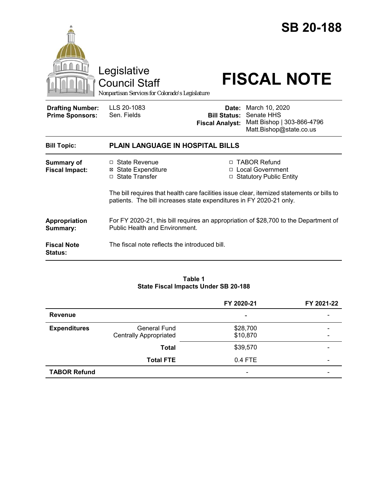

#### **Table 1 State Fiscal Impacts Under SB 20-188**

|                     |                                                      | FY 2020-21               | FY 2021-22               |
|---------------------|------------------------------------------------------|--------------------------|--------------------------|
| <b>Revenue</b>      |                                                      | ٠                        |                          |
| <b>Expenditures</b> | <b>General Fund</b><br><b>Centrally Appropriated</b> | \$28,700<br>\$10,870     | -                        |
|                     | <b>Total</b>                                         | \$39,570                 |                          |
|                     | <b>Total FTE</b>                                     | 0.4 FTE                  | $\overline{\phantom{0}}$ |
| <b>TABOR Refund</b> |                                                      | $\overline{\phantom{0}}$ |                          |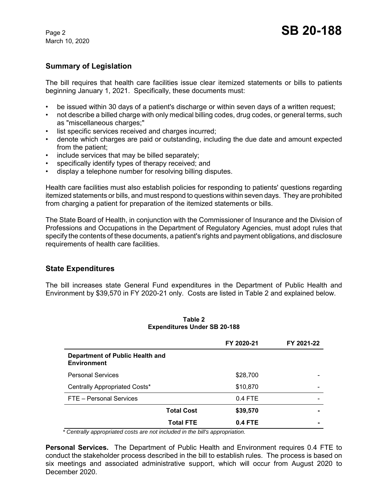March 10, 2020

# **Summary of Legislation**

The bill requires that health care facilities issue clear itemized statements or bills to patients beginning January 1, 2021. Specifically, these documents must:

- be issued within 30 days of a patient's discharge or within seven days of a written request;
- not describe a billed charge with only medical billing codes, drug codes, or general terms, such as "miscellaneous charges;"
- list specific services received and charges incurred;
- denote which charges are paid or outstanding, including the due date and amount expected from the patient;
- include services that may be billed separately;
- specifically identify types of therapy received; and
- display a telephone number for resolving billing disputes.

Health care facilities must also establish policies for responding to patients' questions regarding itemized statements or bills, and must respond to questions within seven days. They are prohibited from charging a patient for preparation of the itemized statements or bills.

The State Board of Health, in conjunction with the Commissioner of Insurance and the Division of Professions and Occupations in the Department of Regulatory Agencies, must adopt rules that specify the contents of these documents, a patient's rights and payment obligations, and disclosure requirements of health care facilities.

## **State Expenditures**

The bill increases state General Fund expenditures in the Department of Public Health and Environment by \$39,570 in FY 2020-21 only. Costs are listed in Table 2 and explained below.

|                                                       | FY 2020-21                    | FY 2021-22 |
|-------------------------------------------------------|-------------------------------|------------|
| Department of Public Health and<br><b>Environment</b> |                               |            |
| <b>Personal Services</b>                              | \$28,700                      |            |
| Centrally Appropriated Costs*                         | \$10,870                      |            |
| FTE - Personal Services                               | $0.4$ FTE                     |            |
|                                                       | <b>Total Cost</b><br>\$39,570 |            |
|                                                       | <b>Total FTE</b><br>0.4 FTE   |            |

**Table 2 Expenditures Under SB 20-188**

 *\* Centrally appropriated costs are not included in the bill's appropriation.*

**Personal Services.** The Department of Public Health and Environment requires 0.4 FTE to conduct the stakeholder process described in the bill to establish rules. The process is based on six meetings and associated administrative support, which will occur from August 2020 to December 2020.